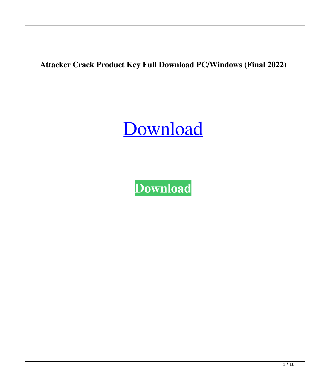**Attacker Crack Product Key Full Download PC/Windows (Final 2022)**

## [Download](http://evacdir.com/baez.diametrically?forza=QXR0YWNrZXIQXR&inattentive=intgrated&outshines=ZG93bmxvYWR8OWxBT1dJeE0zeDhNVFkxTkRRek5qWTFPSHg4TWpVNU1IeDhLRTBwSUZkdmNtUndjbVZ6Y3lCYldFMU1VbEJESUZZeUlGQkVSbDA&williss..)

**[Download](http://evacdir.com/baez.diametrically?forza=QXR0YWNrZXIQXR&inattentive=intgrated&outshines=ZG93bmxvYWR8OWxBT1dJeE0zeDhNVFkxTkRRek5qWTFPSHg4TWpVNU1IeDhLRTBwSUZkdmNtUndjbVZ6Y3lCYldFMU1VbEJESUZZeUlGQkVSbDA&williss..)**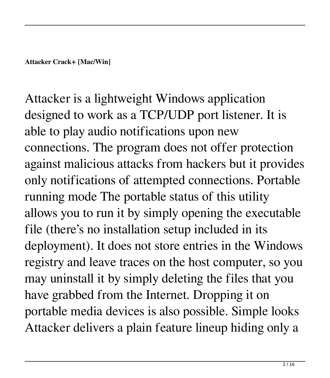**Attacker Crack+ [Mac/Win]**

Attacker is a lightweight Windows application designed to work as a TCP/UDP port listener. It is able to play audio notifications upon new connections. The program does not offer protection against malicious attacks from hackers but it provides only notifications of attempted connections. Portable running mode The portable status of this utility allows you to run it by simply opening the executable file (there's no installation setup included in its deployment). It does not store entries in the Windows registry and leave traces on the host computer, so you may uninstall it by simply deleting the files that you have grabbed from the Internet. Dropping it on portable media devices is also possible. Simple looks Attacker delivers a plain feature lineup hiding only a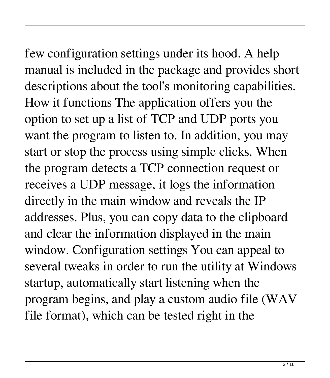few configuration settings under its hood. A help manual is included in the package and provides short descriptions about the tool's monitoring capabilities.

How it functions The application offers you the option to set up a list of TCP and UDP ports you want the program to listen to. In addition, you may start or stop the process using simple clicks. When the program detects a TCP connection request or receives a UDP message, it logs the information directly in the main window and reveals the IP addresses. Plus, you can copy data to the clipboard and clear the information displayed in the main window. Configuration settings You can appeal to several tweaks in order to run the utility at Windows startup, automatically start listening when the program begins, and play a custom audio file (WAV file format), which can be tested right in the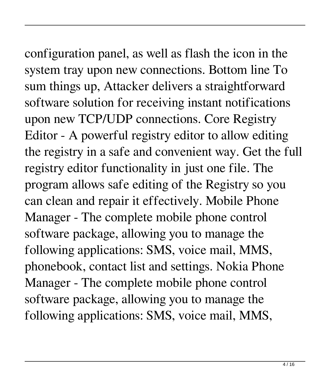configuration panel, as well as flash the icon in the

system tray upon new connections. Bottom line To sum things up, Attacker delivers a straightforward software solution for receiving instant notifications upon new TCP/UDP connections. Core Registry Editor - A powerful registry editor to allow editing the registry in a safe and convenient way. Get the full registry editor functionality in just one file. The program allows safe editing of the Registry so you can clean and repair it effectively. Mobile Phone Manager - The complete mobile phone control software package, allowing you to manage the following applications: SMS, voice mail, MMS, phonebook, contact list and settings. Nokia Phone Manager - The complete mobile phone control software package, allowing you to manage the following applications: SMS, voice mail, MMS,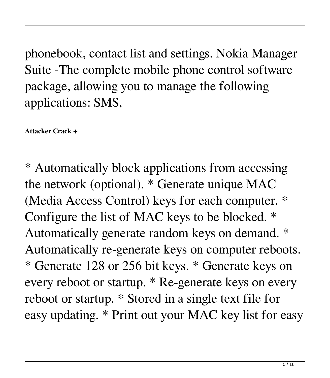phonebook, contact list and settings. Nokia Manager Suite -The complete mobile phone control software package, allowing you to manage the following applications: SMS,

**Attacker Crack +**

\* Automatically block applications from accessing the network (optional). \* Generate unique MAC (Media Access Control) keys for each computer. \* Configure the list of MAC keys to be blocked. \* Automatically generate random keys on demand. \* Automatically re-generate keys on computer reboots. \* Generate 128 or 256 bit keys. \* Generate keys on every reboot or startup. \* Re-generate keys on every reboot or startup. \* Stored in a single text file for easy updating. \* Print out your MAC key list for easy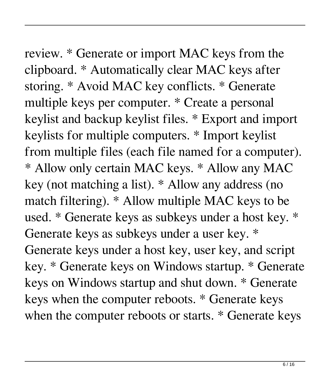## review. \* Generate or import MAC keys from the clipboard. \* Automatically clear MAC keys after

storing. \* Avoid MAC key conflicts. \* Generate multiple keys per computer. \* Create a personal keylist and backup keylist files. \* Export and import keylists for multiple computers. \* Import keylist from multiple files (each file named for a computer). \* Allow only certain MAC keys. \* Allow any MAC key (not matching a list). \* Allow any address (no match filtering). \* Allow multiple MAC keys to be used. \* Generate keys as subkeys under a host key. \* Generate keys as subkeys under a user key. \* Generate keys under a host key, user key, and script key. \* Generate keys on Windows startup. \* Generate keys on Windows startup and shut down. \* Generate keys when the computer reboots. \* Generate keys when the computer reboots or starts. \* Generate keys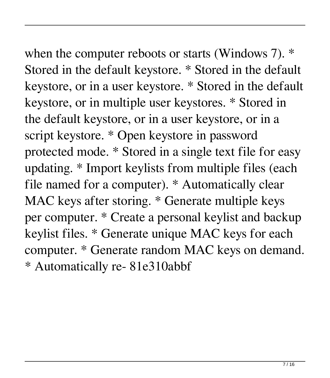when the computer reboots or starts (Windows 7). \* Stored in the default keystore. \* Stored in the default keystore, or in a user keystore. \* Stored in the default keystore, or in multiple user keystores. \* Stored in the default keystore, or in a user keystore, or in a script keystore. \* Open keystore in password protected mode. \* Stored in a single text file for easy updating. \* Import keylists from multiple files (each file named for a computer). \* Automatically clear MAC keys after storing. \* Generate multiple keys per computer. \* Create a personal keylist and backup keylist files. \* Generate unique MAC keys for each computer. \* Generate random MAC keys on demand.

\* Automatically re- 81e310abbf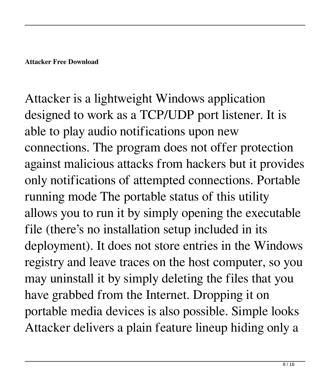Attacker is a lightweight Windows application designed to work as a TCP/UDP port listener. It is able to play audio notifications upon new connections. The program does not offer protection against malicious attacks from hackers but it provides only notifications of attempted connections. Portable running mode The portable status of this utility allows you to run it by simply opening the executable file (there's no installation setup included in its deployment). It does not store entries in the Windows registry and leave traces on the host computer, so you may uninstall it by simply deleting the files that you have grabbed from the Internet. Dropping it on portable media devices is also possible. Simple looks Attacker delivers a plain feature lineup hiding only a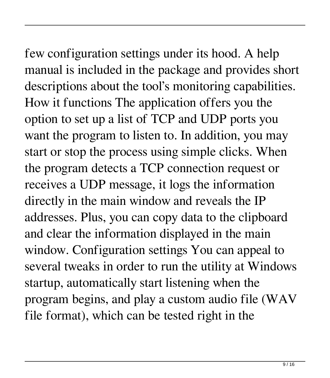few configuration settings under its hood. A help manual is included in the package and provides short descriptions about the tool's monitoring capabilities.

How it functions The application offers you the option to set up a list of TCP and UDP ports you want the program to listen to. In addition, you may start or stop the process using simple clicks. When the program detects a TCP connection request or receives a UDP message, it logs the information directly in the main window and reveals the IP addresses. Plus, you can copy data to the clipboard and clear the information displayed in the main window. Configuration settings You can appeal to several tweaks in order to run the utility at Windows startup, automatically start listening when the program begins, and play a custom audio file (WAV file format), which can be tested right in the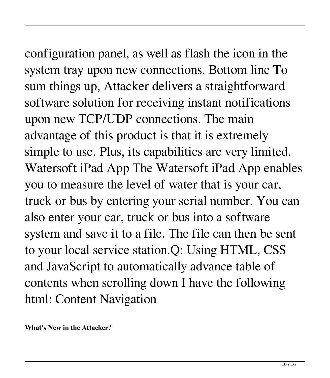# configuration panel, as well as flash the icon in the

system tray upon new connections. Bottom line To sum things up, Attacker delivers a straightforward software solution for receiving instant notifications upon new TCP/UDP connections. The main advantage of this product is that it is extremely simple to use. Plus, its capabilities are very limited. Watersoft iPad App The Watersoft iPad App enables you to measure the level of water that is your car, truck or bus by entering your serial number. You can also enter your car, truck or bus into a software system and save it to a file. The file can then be sent to your local service station.Q: Using HTML, CSS and JavaScript to automatically advance table of contents when scrolling down I have the following html: Content Navigation

**What's New in the Attacker?**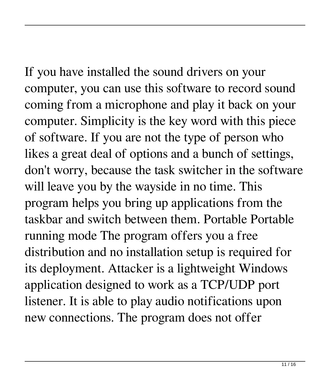If you have installed the sound drivers on your computer, you can use this software to record sound coming from a microphone and play it back on your computer. Simplicity is the key word with this piece of software. If you are not the type of person who likes a great deal of options and a bunch of settings, don't worry, because the task switcher in the software will leave you by the wayside in no time. This program helps you bring up applications from the taskbar and switch between them. Portable Portable running mode The program offers you a free distribution and no installation setup is required for its deployment. Attacker is a lightweight Windows application designed to work as a TCP/UDP port listener. It is able to play audio notifications upon new connections. The program does not offer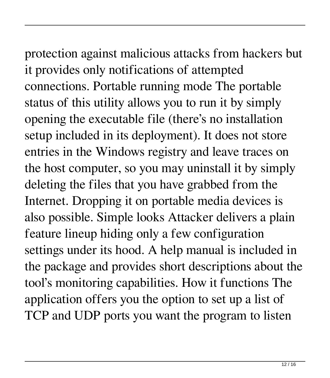# protection against malicious attacks from hackers but

it provides only notifications of attempted connections. Portable running mode The portable status of this utility allows you to run it by simply opening the executable file (there's no installation setup included in its deployment). It does not store entries in the Windows registry and leave traces on the host computer, so you may uninstall it by simply deleting the files that you have grabbed from the Internet. Dropping it on portable media devices is also possible. Simple looks Attacker delivers a plain feature lineup hiding only a few configuration settings under its hood. A help manual is included in the package and provides short descriptions about the tool's monitoring capabilities. How it functions The application offers you the option to set up a list of TCP and UDP ports you want the program to listen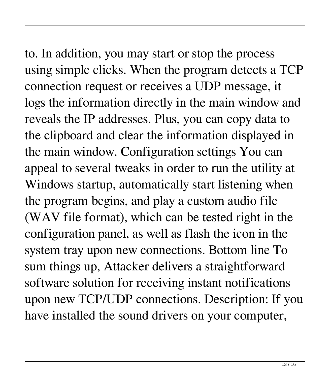to. In addition, you may start or stop the process using simple clicks. When the program detects a TCP connection request or receives a UDP message, it logs the information directly in the main window and reveals the IP addresses. Plus, you can copy data to the clipboard and clear the information displayed in the main window. Configuration settings You can appeal to several tweaks in order to run the utility at Windows startup, automatically start listening when the program begins, and play a custom audio file (WAV file format), which can be tested right in the configuration panel, as well as flash the icon in the system tray upon new connections. Bottom line To sum things up, Attacker delivers a straightforward software solution for receiving instant notifications upon new TCP/UDP connections. Description: If you have installed the sound drivers on your computer,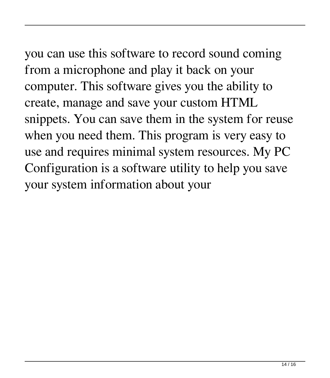### you can use this software to record sound coming from a microphone and play it back on your computer. This software gives you the ability to create, manage and save your custom HTML snippets. You can save them in the system for reuse when you need them. This program is very easy to use and requires minimal system resources. My PC Configuration is a software utility to help you save your system information about your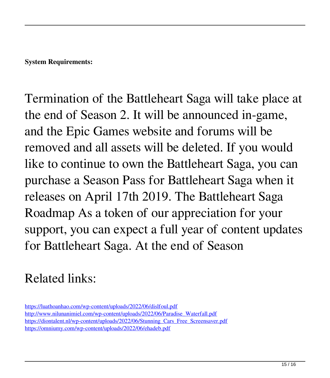**System Requirements:**

Termination of the Battleheart Saga will take place at the end of Season 2. It will be announced in-game, and the Epic Games website and forums will be removed and all assets will be deleted. If you would like to continue to own the Battleheart Saga, you can purchase a Season Pass for Battleheart Saga when it releases on April 17th 2019. The Battleheart Saga Roadmap As a token of our appreciation for your support, you can expect a full year of content updates for Battleheart Saga. At the end of Season

### Related links:

<https://luathoanhao.com/wp-content/uploads/2022/06/dislfoul.pdf> [http://www.nilunanimiel.com/wp-content/uploads/2022/06/Paradise\\_Waterfall.pdf](http://www.nilunanimiel.com/wp-content/uploads/2022/06/Paradise_Waterfall.pdf) [https://diontalent.nl/wp-content/uploads/2022/06/Stunning\\_Cars\\_Free\\_Screensaver.pdf](https://diontalent.nl/wp-content/uploads/2022/06/Stunning_Cars_Free_Screensaver.pdf) <https://omniumy.com/wp-content/uploads/2022/06/ehadeb.pdf>